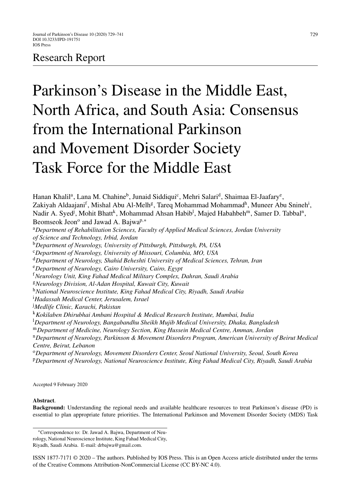# Research Report

# Parkinson's Disease in the Middle East, North Africa, and South Asia: Consensus from the International Parkinson and Movement Disorder Society Task Force for the Middle East

Hanan Khalil<sup>a</sup>, Lana M. Chahine<sup>b</sup>, Junaid Siddiqui<sup>c</sup>, Mehri Salari<sup>d</sup>, Shaimaa El-Jaafary<sup>e</sup>, Zakiyah Aldaajani<sup>f</sup>, Mishal Abu Al-Melh<sup>g</sup>, Tareq Mohammad Mohammad<sup>h</sup>, Muneer Abu Snineh<sup>i</sup>, Nadir A. Syed<sup>j</sup>, Mohit Bhatt<sup>k</sup>, Mohammad Ahsan Habib<sup>l</sup>, Majed Habahbeh<sup>m</sup>, Samer D. Tabbal<sup>n</sup>, Beomseok Jeon<sup>o</sup> and Jawad A. Bajwa<sup>p,∗</sup> <sup>a</sup>*Department of Rehabilitation Sciences, Faculty of Applied Medical Sciences, Jordan University of Science and Technology, Irbid, Jordan* <sup>b</sup>*Department of Neurology, University of Pittsburgh, Pittsburgh, PA, USA* <sup>c</sup>*Department of Neurology, University of Missouri, Columbia, MO, USA* <sup>d</sup>*Department of Neurology, Shahid Beheshti University of Medical Sciences, Tehran, Iran* <sup>e</sup>*Department of Neurology, Cairo University, Cairo, Egypt* <sup>f</sup>*Neurology Unit, King Fahad Medical Military Complex, Dahran, Saudi Arabia* <sup>g</sup>*Neurology Division, Al-Adan Hospital, Kuwait City, Kuwait* <sup>h</sup>*National Neuroscience Institute, King Fahad Medical City, Riyadh, Saudi Arabia* i *Hadassah Medical Center, Jerusalem, Israel* j *Medlife Clinic, Karachi, Pakistan* <sup>k</sup>*Kokilaben Dhirubhai Ambani Hospital & Medical Research Institute, Mumbai, India* l *Department of Neurology, Bangabandhu Sheikh Mujib Medical University, Dhaka, Bangladesh* <sup>m</sup>*Department of Medicine, Neurology Section, King Hussein Medical Centre, Amman, Jordan* <sup>n</sup>*Department of Neurology, Parkinson & Movement Disorders Program, American University of Beirut Medical Centre, Beirut, Lebanon* <sup>o</sup>*Department of Neurology, Movement Disorders Center, Seoul National University, Seoul, South Korea* <sup>p</sup>*Department of Neurology, National Neuroscience Institute, King Fahad Medical City, Riyadh, Saudi Arabia*

Accepted 9 February 2020

# **Abstract**.

**Background:** Understanding the regional needs and available healthcare resources to treat Parkinson's disease (PD) is essential to plan appropriate future priorities. The International Parkinson and Movement Disorder Society (MDS) Task

rology, National Neuroscience Institute, King Fahad Medical City,

ISSN 1877-7171 © 2020 – The authors. Published by IOS Press. This is an Open Access article distributed under the terms of the [Creative Commons Attribution-NonCommercial License \(CC BY-NC 4.0\).](https://creativecommons.org/licenses/by-nc/4.0/)

<sup>∗</sup>Correspondence to: Dr. Jawad A. Bajwa, Department of Neu-

Riyadh, Saudi Arabia. E-mail: [drbajwa@gmail.com](mailto:drbajwa@gmail.com).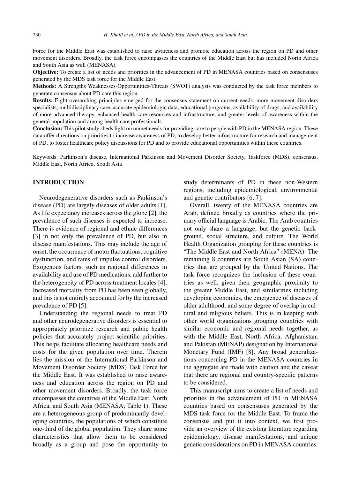Force for the Middle East was established to raise awareness and promote education across the region on PD and other movement disorders. Broadly, the task force encompasses the countries of the Middle East but has included North Africa and South Asia as well (MENASA).

**Objective:** To create a list of needs and priorities in the advancement of PD in MENASA countries based on consensuses generated by the MDS task force for the Middle East.

**Methods:** A Strengths Weaknesses-Opportunities-Threats (SWOT) analysis was conducted by the task force members to generate consensus about PD care this region.

**Results:** Eight overarching principles emerged for the consensus statement on current needs: more movement disorders specialists, multidisciplinary care, accurate epidemiologic data, educational programs, availability of drugs, and availability of more advanced therapy, enhanced health care resources and infrastructure, and greater levels of awareness within the general population and among health care professionals.

**Conclusion:** This pilot study sheds light on unmet needs for providing care to people with PD in the MENASA region. These data offer directions on priorities to increase awareness of PD, to develop better infrastructure for research and management of PD, to foster healthcare policy discussions for PD and to provide educational opportunities within these countries.

Keywords: Parkinson's disease, International Parkinson and Movement Disorder Society, Taskforce (MDS), consensus, Middle East, North Africa, South Asia

#### **INTRODUCTION**

Neurodegenerative disorders such as Parkinson's disease (PD) are largely diseases of older adults [1]. As life expectancy increases across the globe [2], the prevalence of such diseases is expected to increase. There is evidence of regional and ethnic differences [3] in not only the prevalence of PD, but also in disease manifestations. This may include the age of onset, the occurrence of motor fluctuations, cognitive dysfunction, and rates of impulse control disorders. Exogenous factors, such as regional differences in availability and use of PD medications, add further to the heterogeneity of PD across treatment locales [4]. Increased mortality from PD has been seen globally, and this is not entirely accounted for by the increased prevalence of PD [5].

Understanding the regional needs to treat PD and other neurodegenerative disorders is essential to appropriately prioritize research and public health policies that accurately project scientific priorities. This helps facilitate allocating healthcare needs and costs for the given population over time. Therein lies the mission of the International Parkinson and Movement Disorder Society (MDS) Task Force for the Middle East. It was established to raise awareness and education across the region on PD and other movement disorders. Broadly, the task force encompasses the countries of the Middle East, North Africa, and South Asia (MENASA; Table 1). These are a heterogeneous group of predominantly developing countries, the populations of which constitute one-third of the global population. They share some characteristics that allow them to be considered broadly as a group and pose the opportunity to study determinants of PD in these non-Western regions, including epidemiological, environmental and genetic contributors [6, 7].

Overall, twenty of the MENASA countries are Arab, defined broadly as countries where the primary official language is Arabic. The Arab countries not only share a language, but the genetic background, social structure, and culture. The World Health Organization grouping for these countries is "The Middle East and North Africa" (MENA). The remaining 8 countries are South Asian (SA) countries that are grouped by the United Nations. The task force recognizes the inclusion of these countries as well, given their geographic proximity to the greater Middle East, and similarities including developing economies, the emergence of diseases of older adulthood, and some degree of overlap in cultural and religious beliefs. This is in keeping with other world organizations grouping countries with similar economic and regional needs together, as with the Middle East, North Africa, Afghanistan, and Pakistan (MENAP) designation by International Monetary Fund (IMF) [8]. Any broad generalizations concerning PD in the MENASA countries in the aggregate are made with caution and the caveat that there are regional and country-specific patterns to be considered.

This manuscript aims to create a list of needs and priorities in the advancement of PD in MENASA countries based on consensuses generated by the MDS task force for the Middle East. To frame the consensus and put it into context, we first provide an overview of the existing literature regarding epidemiology, disease manifestations, and unique genetic considerations on PD in MENASA countries.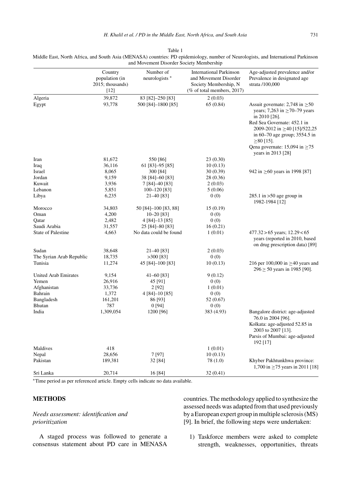| ٠<br>Ξ |               |  |
|--------|---------------|--|
| ۰      | ۰,<br>×<br>۰. |  |

| and Movement Disorder Society Membership |                                                         |                             |                                                                                                                |                                                                                                                                                                                                                                                                                 |  |  |
|------------------------------------------|---------------------------------------------------------|-----------------------------|----------------------------------------------------------------------------------------------------------------|---------------------------------------------------------------------------------------------------------------------------------------------------------------------------------------------------------------------------------------------------------------------------------|--|--|
|                                          | Country<br>population (in<br>2015; thousands)<br>$[12]$ | Number of<br>neurologists * | <b>International Parkinson</b><br>and Movement Disorder<br>Society Membership, N<br>(% of total members, 2017) | Age-adjusted prevalence and/or<br>Prevalence in designated age<br>strata /100,000                                                                                                                                                                                               |  |  |
| Algeria                                  | 39,872                                                  | 83 [82] - 250 [83]          | 2(0.03)                                                                                                        |                                                                                                                                                                                                                                                                                 |  |  |
| Egypt                                    | 93,778                                                  | 500 [84] - 1800 [85]        | 65 (0.84)                                                                                                      | Assuit governate: 2,748 in $\geq$ 50<br>years; 7,263 in $\geq$ 70–79 years<br>in 2010 [26].<br>Red Sea Governate: 452.1 in<br>2009-2012 in ≥40 [15]/522,25<br>in $60-70$ age group; $3554.5$ in<br>$\geq 80$ [15].<br>Qena governate: 15,094 in $\geq$ 75<br>years in 2013 [28] |  |  |
| Iran                                     | 81,672                                                  | 550 [86]                    | 23(0.30)                                                                                                       |                                                                                                                                                                                                                                                                                 |  |  |
| Iraq                                     | 36,116                                                  | 61 [83] - 95 [85]           | 10(0.13)                                                                                                       |                                                                                                                                                                                                                                                                                 |  |  |
| Israel                                   | 8,065                                                   | 300 [84]                    | 30(0.39)                                                                                                       | 942 in $\geq 60$ years in 1998 [87]                                                                                                                                                                                                                                             |  |  |
| Jordan                                   | 9,159                                                   | 38 [84] -60 [83]            | 28 (0.36)                                                                                                      |                                                                                                                                                                                                                                                                                 |  |  |
| Kuwait                                   | 3,936                                                   | 7 [84] -40 [83]             | 2(0.03)                                                                                                        |                                                                                                                                                                                                                                                                                 |  |  |
| Lebanon                                  | 5,851                                                   | 100-120 [83]                | 5(0.06)                                                                                                        |                                                                                                                                                                                                                                                                                 |  |  |
| Libya                                    | 6,235                                                   | 21–40 [83]                  | 0(0)                                                                                                           | $285.1$ in $>50$ age group in<br>1982-1984 [12]                                                                                                                                                                                                                                 |  |  |
| Morocco                                  | 34,803                                                  | 50 [84] - 100 [83, 88]      | 15(0.19)                                                                                                       |                                                                                                                                                                                                                                                                                 |  |  |
| Oman                                     | 4,200                                                   | $10 - 20$ [83]              | 0(0)                                                                                                           |                                                                                                                                                                                                                                                                                 |  |  |
| Qatar                                    | 2,482                                                   | 4 [84] - 13 [85]            | 0(0)                                                                                                           |                                                                                                                                                                                                                                                                                 |  |  |
| Saudi Arabia                             | 31,557                                                  | 25 [84] - 80 [83]           | 16(0.21)                                                                                                       |                                                                                                                                                                                                                                                                                 |  |  |
| <b>State of Palestine</b>                | 4,663                                                   | No data could be found      | 1(0.01)                                                                                                        | $477.32 > 65$ years; $12.29 < 65$<br>years (reported in 2010, based<br>on drug prescription data) [89]                                                                                                                                                                          |  |  |
| Sudan                                    | 38,648                                                  | 21-40 [83]                  | 2(0.03)                                                                                                        |                                                                                                                                                                                                                                                                                 |  |  |
| The Syrian Arab Republic                 | 18,735                                                  | $>300$ [83]                 | 0(0)                                                                                                           |                                                                                                                                                                                                                                                                                 |  |  |
| Tunisia                                  | 11,274                                                  | 45 [84] - 100 [83]          | 10(0.13)                                                                                                       | 216 per 100,000 in $\geq$ 40 years and<br>$296 \ge 50$ years in 1985 [90].                                                                                                                                                                                                      |  |  |
| <b>United Arab Emirates</b>              | 9,154                                                   | $41 - 60$ [83]              | 9(0.12)                                                                                                        |                                                                                                                                                                                                                                                                                 |  |  |
| Yemen                                    | 26,916                                                  | 45 [91]                     | 0(0)                                                                                                           |                                                                                                                                                                                                                                                                                 |  |  |
| Afghanistan                              | 33,736                                                  | 2 [92]                      | 1(0.01)                                                                                                        |                                                                                                                                                                                                                                                                                 |  |  |
| Bahrain                                  | 1,372                                                   | 4 [84] - 10 [85]            | 0(0)                                                                                                           |                                                                                                                                                                                                                                                                                 |  |  |
| Bangladesh                               | 161,201                                                 | 86 [93]                     | 52(0.67)                                                                                                       |                                                                                                                                                                                                                                                                                 |  |  |
| Bhutan                                   | 787                                                     | 0[94]                       | 0(0)                                                                                                           |                                                                                                                                                                                                                                                                                 |  |  |
| India                                    | 1,309,054                                               | 1200 [96]                   | 383 (4.93)                                                                                                     | Bangalore district: age-adjusted<br>76.0 in 2004 [96].                                                                                                                                                                                                                          |  |  |
|                                          |                                                         |                             |                                                                                                                | Kolkata: age-adjusted 52.85 in<br>2003 to 2007 [13].<br>Parsis of Mumbai: age-adjusted<br>192 [17]                                                                                                                                                                              |  |  |
| Maldives                                 | 418                                                     |                             | 1(0.01)                                                                                                        |                                                                                                                                                                                                                                                                                 |  |  |
| Nepal                                    | 28,656                                                  | 7 [97]                      | 10(0.13)                                                                                                       |                                                                                                                                                                                                                                                                                 |  |  |
| Pakistan                                 | 189,381                                                 | 32 [84]                     | 78(1.0)                                                                                                        | Khyber Pakhtunkhwa province:<br>1,700 in $\geq$ 75 years in 2011 [18]                                                                                                                                                                                                           |  |  |
| Sri Lanka                                | 20,714                                                  | 16 [84]                     | 32 (0.41)                                                                                                      |                                                                                                                                                                                                                                                                                 |  |  |

Table 1 Middle East, North Africa, and South Asia (MENASA) countries: PD epidemiology, number of Neurologists, and International Parkinson

∗Time period as per referenced article. Empty cells indicate no data available.

# **METHODS**

*Needs assessment: identification and prioritization*

A staged process was followed to generate a consensus statement about PD care in MENASA

countries. The methodology applied to synthesize the assessed needs was adapted from that used previously by a European expert group in multiple sclerosis (MS) [9]. In brief, the following steps were undertaken:

1) Taskforce members were asked to complete strength, weaknesses, opportunities, threats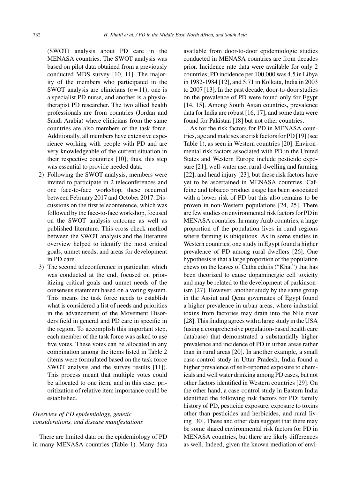(SWOT) analysis about PD care in the MENASA countries. The SWOT analysis was based on pilot data obtained from a previously conducted MDS survey [10, 11]. The majority of the members who participated in the SWOT analysis are clinicians  $(n=11)$ , one is a specialist PD nurse, and another is a physiotherapist PD researcher. The two allied health professionals are from countries (Jordan and Saudi Arabia) where clinicians from the same countries are also members of the task force. Additionally, all members have extensive experience working with people with PD and are very knowledgeable of the current situation in their respective countries [10]; thus, this step was essential to provide needed data.

- 2) Following the SWOT analysis, members were invited to participate in 2 teleconferences and one face-to-face workshop, these occurred between February 2017 and October 2017. Discussions on the first teleconference, which was followed by the face-to-face workshop, focused on the SWOT analysis outcome as well as published literature. This cross-check method between the SWOT analysis and the literature overview helped to identify the most critical goals, unmet needs, and areas for development in PD care.
- 3) The second teleconference in particular, which was conducted at the end, focused on prioritizing critical goals and unmet needs of the consensus statement based on a voting system. This means the task force needs to establish what is considered a list of needs and priorities in the advancement of the Movement Disorders field in general and PD care in specific in the region. To accomplish this important step, each member of the task force was asked to use five votes. These votes can be allocated in any combination among the items listed in Table 2 (items were formulated based on the task force SWOT analysis and the survey results [11]). This process meant that multiple votes could be allocated to one item, and in this case, prioritization of relative item importance could be established.

# *Overview of PD epidemiology, genetic considerations, and disease manifestations*

There are limited data on the epidemiology of PD in many MENASA countries (Table 1). Many data available from door-to-door epidemiologic studies conducted in MENASA countries are from decades prior. Incidence rate data were available for only 2 countries; PD incidence per 100,000 was 4.5 in Libya in 1982-1984 [12], and 5.71 in Kolkata, India in 2003 to 2007 [13]. In the past decade, door-to-door studies on the prevalence of PD were found only for Egypt [14, 15]. Among South Asian countries, prevalence data for India are robust [16, 17], and some data were found for Pakistan [18] but not other countries.

As for the risk factors for PD in MENASA countries, age and male sex are risk factors for PD [19] (see Table 1), as seen in Western countries [20]. Environmental risk factors associated with PD in the United States and Western Europe include pesticide exposure [21], well-water use, rural-dwelling and farming [22], and head injury [23], but these risk factors have yet to be ascertained in MENASA countries. Caffeine and tobacco product usage has been associated with a lower risk of PD but this also remains to be proven in non-Western populations [24, 25]. There are few studies on environmental risk factors for PD in MENASA countries. In many Arab countries, a large proportion of the population lives in rural regions where farming is ubiquitous. As in some studies in Western countries, one study in Egypt found a higher prevalence of PD among rural dwellers [26]. One hypothesis is that a large proportion of the population chews on the leaves of Catha edulis ("Khat") that has been theorized to cause dopaminergic cell toxicity and may be related to the development of parkinsonism [27]. However, another study by the same group in the Assiut and Qena governates of Egypt found a higher prevalence in urban areas, where industrial toxins from factories may drain into the Nile river [28]. This finding agrees with a large study in the USA (using a comprehensive population-based health care database) that demonstrated a substantially higher prevalence and incidence of PD in urban areas rather than in rural areas [20]. In another example, a small case-control study in Uttar Pradesh, India found a higher prevalence of self-reported exposure to chemicals and well water drinking among PD cases, but not other factors identified in Western countries [29]. On the other hand, a case-control study in Eastern India identified the following risk factors for PD: family history of PD, pesticide exposure, exposure to toxins other than pesticides and herbicides, and rural living [30]. These and other data suggest that there may be some shared environmental risk factors for PD in MENASA countries, but there are likely differences as well. Indeed, given the known mediation of envi-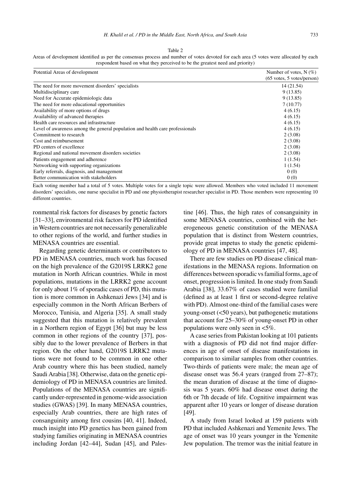#### Table 2

Areas of development identified as per the consensus process and number of votes devoted for each area (5 votes were allocated by each respondent based on what they perceived to be the greatest need and priority)

| Potential Areas of development                                                | Number of votes, $N(\%)$                     |
|-------------------------------------------------------------------------------|----------------------------------------------|
|                                                                               | $(65 \text{ votes}, 5 \text{ votes/person})$ |
| The need for more movement disorders' specialists                             | 14 (21.54)                                   |
| Multidisciplinary care                                                        | 9(13.85)                                     |
| Need for Accurate epidemiologic data                                          | 9(13.85)                                     |
| The need for more educational opportunities                                   | 7(10.77)                                     |
| Availability of more options of drugs                                         | 4(6.15)                                      |
| Availability of advanced therapies                                            | 4(6.15)                                      |
| Health care resources and infrastructure                                      | 4(6.15)                                      |
| Level of awareness among the general population and health care professionals | 4(6.15)                                      |
| Commitment to research                                                        | 2(3.08)                                      |
| Cost and reimbursement                                                        | 2(3.08)                                      |
| PD centers of excellence                                                      | 2(3.08)                                      |
| Regional and national movement disorders societies                            | 2(3.08)                                      |
| Patients engagement and adherence                                             | 1(1.54)                                      |
| Networking with supporting organizations                                      | 1(1.54)                                      |
| Early referrals, diagnosis, and management                                    | 0(0)                                         |
| Better communication with stakeholders                                        | 0(0)                                         |

Each voting member had a total of 5 votes. Multiple votes for a single topic were allowed. Members who voted included 11 movement disorders' specialists, one nurse specialist in PD and one physiotherapist researcher specialist in PD. Those members were representing 10 different countries.

ronmental risk factors for diseases by genetic factors [31–33], environmental risk factors for PD identified in Western countries are not necessarily generalizable to other regions of the world, and further studies in MENASA countries are essential.

Regarding genetic determinants or contributors to PD in MENASA countries, much work has focused on the high prevalence of the G2019S LRRK2 gene mutation in North African countries. While in most populations, mutations in the LRRK2 gene account for only about 1% of sporadic cases of PD, this mutation is more common in Ashkenazi Jews [34] and is especially common in the North African Berbers of Morocco, Tunisia, and Algeria [35]. A small study suggested that this mutation is relatively prevalent in a Northern region of Egypt [36] but may be less common in other regions of the country [37], possibly due to the lower prevalence of Berbers in that region. On the other hand, G2019S LRRK2 mutations were not found to be common in one other Arab country where this has been studied, namely Saudi Arabia [38]. Otherwise, data on the genetic epidemiology of PD in MENASA countries are limited. Populations of the MENASA countries are significantly under-represented in genome-wide association studies (GWAS) [39]. In many MENASA countries, especially Arab countries, there are high rates of consanguinity among first cousins [40, 41]. Indeed, much insight into PD genetics has been gained from studying families originating in MENASA countries including Jordan [42–44], Sudan [45], and Palestine [46]. Thus, the high rates of consanguinity in some MENASA countries, combined with the heterogeneous genetic constitution of the MENASA population that is distinct from Western countries, provide great impetus to study the genetic epidemiology of PD in MENASA countries [47, 48].

There are few studies on PD disease clinical manifestations in the MENASA regions. Information on differences between sporadic vs familial forms, age of onset, progression is limited. In one study from Saudi Arabia [38], 33.67% of cases studied were familial (defined as at least 1 first or second-degree relative with PD). Almost one-third of the familial cases were young-onset (<50 years), but pathogenetic mutations that account for 25–30% of young-onset PD in other populations were only seen in <5%.

A case series from Pakistan looking at 101 patients with a diagnosis of PD did not find major differences in age of onset of disease manifestations in comparison to similar samples from other countries. Two-thirds of patients were male; the mean age of disease onset was 56.4 years (ranged from 27–87); the mean duration of disease at the time of diagnosis was 5 years. 60% had disease onset during the 6th or 7th decade of life. Cognitive impairment was apparent after 10 years or longer of disease duration [49].

A study from Israel looked at 159 patients with PD that included Ashkenazi and Yemenite Jews. The age of onset was 10 years younger in the Yemenite Jew population. The tremor was the initial feature in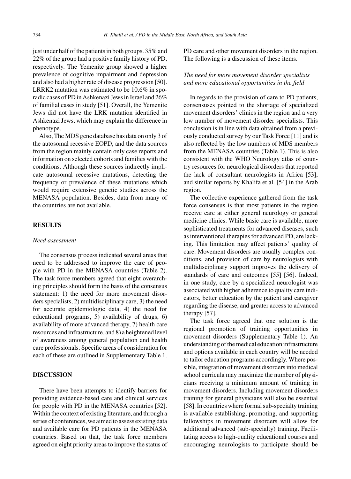just under half of the patients in both groups. 35% and 22% of the group had a positive family history of PD, respectively. The Yemenite group showed a higher prevalence of cognitive impairment and depression and also had a higher rate of disease progression [50]. LRRK2 mutation was estimated to be 10.6% in sporadic cases of PD in Ashkenazi Jews in Israel and 26% of familial cases in study [51]. Overall, the Yemenite Jews did not have the LRK mutation identified in Ashkenazi Jews, which may explain the difference in phenotype.

Also, The MDS gene database has data on only 3 of the autosomal recessive EOPD, and the data sources from the region mainly contain only case reports and information on selected cohorts and families with the conditions. Although these sources indirectly implicate autosomal recessive mutations, detecting the frequency or prevalence of these mutations which would require extensive genetic studies across the MENASA population. Besides, data from many of the countries are not available.

#### **RESULTS**

#### *Need assessment*

The consensus process indicated several areas that need to be addressed to improve the care of people with PD in the MENASA countries (Table 2). The task force members agreed that eight overarching principles should form the basis of the consensus statement: 1) the need for more movement disorders specialists, 2) multidisciplinary care, 3) the need for accurate epidemiologic data, 4) the need for educational programs, 5) availability of drugs, 6) availability of more advanced therapy, 7) health care resources and infrastructure, and 8) a heightened level of awareness among general population and health care professionals. Specific areas of consideration for each of these are outlined in Supplementary Table 1.

#### **DISCUSSION**

There have been attempts to identify barriers for providing evidence-based care and clinical services for people with PD in the MENASA countries [52]. Within the context of existing literature, and through a series of conferences, we aimed to assess existing data and available care for PD patients in the MENASA countries. Based on that, the task force members agreed on eight priority areas to improve the status of PD care and other movement disorders in the region. The following is a discussion of these items.

### *The need for more movement disorder specialists and more educational opportunities in the field*

In regards to the provision of care to PD patients, consensuses pointed to the shortage of specialized movement disorders' clinics in the region and a very low number of movement disorder specialists. This conclusion is in line with data obtained from a previously conducted survey by our Task Force [11] and is also reflected by the low numbers of MDS members from the MENASA countries (Table 1). This is also consistent with the WHO Neurology atlas of country resources for neurological disorders that reported the lack of consultant neurologists in Africa [53], and similar reports by Khalifa et al. [54] in the Arab region.

The collective experience gathered from the task force consensus is that most patients in the region receive care at either general neurology or general medicine clinics. While basic care is available, more sophisticated treatments for advanced diseases, such as interventional therapies for advanced PD, are lacking. This limitation may affect patients' quality of care. Movement disorders are usually complex conditions, and provision of care by neurologists with multidisciplinary support improves the delivery of standards of care and outcomes [55] [56]. Indeed, in one study, care by a specialized neurologist was associated with higher adherence to quality care indicators, better education by the patient and caregiver regarding the disease, and greater access to advanced therapy [57].

The task force agreed that one solution is the regional promotion of training opportunities in movement disorders (Supplementary Table 1). An understanding of the medical education infrastructure and options available in each country will be needed to tailor education programs accordingly. Where possible, integration of movement disorders into medical school curricula may maximize the number of physicians receiving a minimum amount of training in movement disorders. Including movement disorders training for general physicians will also be essential [58]. In countries where formal sub-specialty training is available establishing, promoting, and supporting fellowships in movement disorders will allow for additional advanced (sub-specialty) training. Facilitating access to high-quality educational courses and encouraging neurologists to participate should be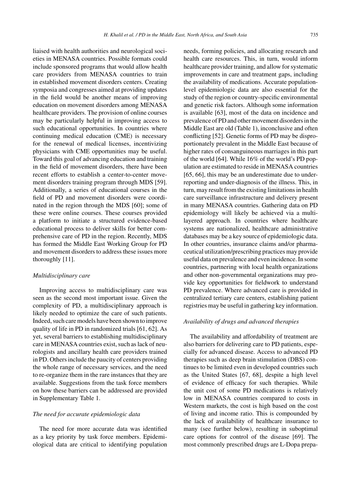liaised with health authorities and neurological societies in MENASA countries. Possible formats could include sponsored programs that would allow health care providers from MENASA countries to train in established movement disorders centers. Creating symposia and congresses aimed at providing updates in the field would be another means of improving education on movement disorders among MENASA healthcare providers. The provision of online courses may be particularly helpful in improving access to such educational opportunities. In countries where continuing medical education (CME) is necessary for the renewal of medical licenses, incentivizing physicians with CME opportunities may be useful. Toward this goal of advancing education and training in the field of movement disorders, there have been recent efforts to establish a center-to-center movement disorders training program through MDS [59]. Additionally, a series of educational courses in the field of PD and movement disorders were coordinated in the region through the MDS [60]; some of these were online courses. These courses provided a platform to initiate a structured evidence-based educational process to deliver skills for better comprehensive care of PD in the region. Recently, MDS has formed the Middle East Working Group for PD and movement disorders to address these issues more thoroughly [11].

#### *Multidisciplinary care*

Improving access to multidisciplinary care was seen as the second most important issue. Given the complexity of PD, a multidisciplinary approach is likely needed to optimize the care of such patients. Indeed, such care models have been shown to improve quality of life in PD in randomized trials [61, 62]. As yet, several barriers to establishing multidisciplinary care in MENASA countries exist, such as lack of neurologists and ancillary health care providers trained in PD. Others include the paucity of centers providing the whole range of necessary services, and the need to re-organize them in the rare instances that they are available. Suggestions from the task force members on how these barriers can be addressed are provided in Supplementary Table 1.

#### *The need for accurate epidemiologic data*

The need for more accurate data was identified as a key priority by task force members. Epidemiological data are critical to identifying population needs, forming policies, and allocating research and health care resources. This, in turn, would inform healthcare provider training, and allow for systematic improvements in care and treatment gaps, including the availability of medications. Accurate populationlevel epidemiologic data are also essential for the study of the region or country-specific environmental and genetic risk factors. Although some information is available [63], most of the data on incidence and prevalence of PD and other movement disorders in the Middle East are old (Table 1), inconclusive and often conflicting [52]. Genetic forms of PD may be disproportionately prevalent in the Middle East because of higher rates of consanguineous marriages in this part of the world [64]. While 16% of the world's PD population are estimated to reside in MENASA countries [65, 66], this may be an underestimate due to underreporting and under-diagnosis of the illness. This, in turn, may result from the existing limitations in health care surveillance infrastructure and delivery present in many MENASA countries. Gathering data on PD epidemiology will likely be achieved via a multilayered approach. In countries where healthcare systems are nationalized, healthcare administrative databases may be a key source of epidemiologic data. In other countries, insurance claims and/or pharmaceutical utilization/prescribing practices may provide useful data on prevalence and even incidence. In some countries, partnering with local health organizations and other non-governmental organizations may provide key opportunities for fieldwork to understand PD prevalence. Where advanced care is provided in centralized tertiary care centers, establishing patient registries may be useful in gathering key information.

#### *Availability of drugs and advanced therapies*

The availability and affordability of treatment are also barriers for delivering care to PD patients, especially for advanced disease. Access to advanced PD therapies such as deep brain stimulation (DBS) continues to be limited even in developed countries such as the United States [67, 68], despite a high level of evidence of efficacy for such therapies. While the unit cost of some PD medications is relatively low in MENASA countries compared to costs in Western markets, the cost is high based on the cost of living and income ratio. This is compounded by the lack of availability of healthcare insurance to many (see further below), resulting in suboptimal care options for control of the disease [69]. The most commonly prescribed drugs are L-Dopa prepa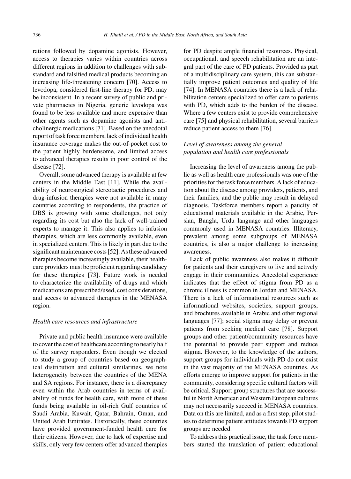rations followed by dopamine agonists. However, access to therapies varies within countries across different regions in addition to challenges with substandard and falsified medical products becoming an increasing life-threatening concern [70]. Access to levodopa, considered first-line therapy for PD, may be inconsistent. In a recent survey of public and private pharmacies in Nigeria, generic levodopa was found to be less available and more expensive than other agents such as dopamine agonists and anticholinergic medications [71]. Based on the anecdotal report of task force members, lack of individual health insurance coverage makes the out-of-pocket cost to the patient highly burdensome, and limited access to advanced therapies results in poor control of the disease [72].

Overall, some advanced therapy is available at few centers in the Middle East [11]. While the availability of neurosurgical stereotactic procedures and drug-infusion therapies were not available in many countries according to respondents, the practice of DBS is growing with some challenges, not only regarding its cost but also the lack of well-trained experts to manage it. This also applies to infusion therapies, which are less commonly available, even in specialized centers. This is likely in part due to the significant maintenance costs [52]. As these advanced therapies become increasingly available, their healthcare providers must be proficient regarding candidacy for these therapies [73]. Future work is needed to characterize the availability of drugs and which medications are prescribed/used, cost considerations, and access to advanced therapies in the MENASA region.

#### *Health care resources and infrastructure*

Private and public health insurance were available to cover the cost of healthcare according to nearly half of the survey responders. Even though we elected to study a group of countries based on geographical distribution and cultural similarities, we note heterogeneity between the countries of the MENA and SA regions. For instance, there is a discrepancy even within the Arab countries in terms of availability of funds for health care, with more of these funds being available in oil-rich Gulf countries of Saudi Arabia, Kuwait, Qatar, Bahrain, Oman, and United Arab Emirates. Historically, these countries have provided government-funded health care for their citizens. However, due to lack of expertise and skills, only very few centers offer advanced therapies

for PD despite ample financial resources. Physical, occupational, and speech rehabilitation are an integral part of the care of PD patients. Provided as part of a multidisciplinary care system, this can substantially improve patient outcomes and quality of life [74]. In MENASA countries there is a lack of rehabilitation centers specialized to offer care to patients with PD, which adds to the burden of the disease. Where a few centers exist to provide comprehensive care [75] and physical rehabilitation, several barriers reduce patient access to them [76].

# *Level of awareness among the general population and health care professionals*

Increasing the level of awareness among the public as well as health care professionals was one of the priorities for the task force members. A lack of education about the disease among providers, patients, and their families, and the public may result in delayed diagnosis. Taskforce members report a paucity of educational materials available in the Arabic, Persian, Bangla, Urdu language and other languages commonly used in MENASA countries. Illiteracy, prevalent among some subgroups of MENASA countries, is also a major challenge to increasing awareness.

Lack of public awareness also makes it difficult for patients and their caregivers to live and actively engage in their communities. Anecdotal experience indicates that the effect of stigma from PD as a chronic illness is common in Jordan and MENASA. There is a lack of informational resources such as informational websites, societies, support groups, and brochures available in Arabic and other regional languages [77]; social stigma may delay or prevent patients from seeking medical care [78]. Support groups and other patient/community resources have the potential to provide peer support and reduce stigma. However, to the knowledge of the authors, support groups for individuals with PD do not exist in the vast majority of the MENASA countries. As efforts emerge to improve support for patients in the community, considering specific cultural factors will be critical. Support group structures that are successful in North American and Western European cultures may not necessarily succeed in MENASA countries. Data on this are limited, and as a first step, pilot studies to determine patient attitudes towards PD support groups are needed.

To address this practical issue, the task force members started the translation of patient educational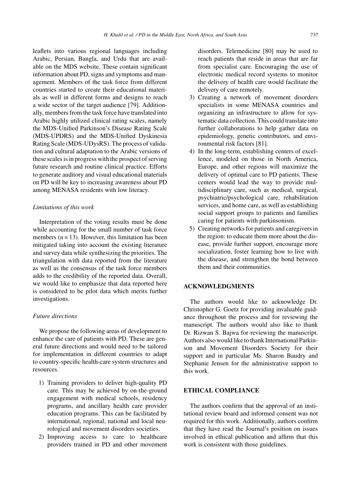leaflets into various regional languages including Arabic, Persian, Bangla, and Urdu that are available on the MDS website. These contain significant information about PD, signs and symptoms and management. Members of the task force from different countries started to create their educational materials as well in different forms and designs to reach a wide sector of the target audience [79]. Additionally, members from the task force have translated into Arabic highly utilized clinical rating scales, namely the MDS-Unified Parkinson's Disease Rating Scale (MDS-UPDRS) and the MDS-Unified Dyskinesia Rating Scale (MDS-UDysRS). The process of validation and cultural adaptation to the Arabic versions of these scales is in progress with the prospect of serving future research and routine clinical practice. Efforts to generate auditory and visual educational materials on PD will be key to increasing awareness about PD among MENASA residents with low literacy.

#### *Limitations of this work*

Interpretation of the voting results must be done while accounting for the small number of task force members  $(n = 13)$ . However, this limitation has been mitigated taking into account the existing literature and survey data while synthesizing the priorities. The triangulation with data reported from the literature as well as the consensus of the task force members adds to the credibility of the reported data. Overall, we would like to emphasize that data reported here is considered to be pilot data which merits further investigations.

#### *Future directions*

We propose the following areas of development to enhance the care of patients with PD. These are general future directions and would need to be tailored for implementation in different countries to adapt to country-specific health-care system structures and resources.

- 1) Training providers to deliver high-quality PD care. This may be achieved by on-the-ground engagement with medical schools, residency programs, and ancillary health care provider education programs. This can be facilitated by international, regional, national and local neurological and movement disorders societies.
- 2) Improving access to care to healthcare providers trained in PD and other movement

disorders. Telemedicine [80] may be used to reach patients that reside in areas that are far from specialist care. Encouraging the use of electronic medical record systems to monitor the delivery of health care would facilitate the delivery of care remotely.

- 3) Creating a network of movement disorders specialists in some MENASA countries and organizing an infrastructure to allow for systematic data collection. This could translate into further collaborations to help gather data on epidemiology, genetic contributors, and environmental risk factors [81].
- 4) In the long-term, establishing centers of excellence, modeled on those in North America, Europe, and other regions will maximize the delivery of optimal care to PD patients. These centers would lead the way to provide multidisciplinary care, such as medical, surgical, psychiatric/psychological care, rehabilitation services, and home care, as well as establishing social support groups to patients and families caring for patients with parkinsonism.
- 5) Creating networks for patients and caregivers in the region: to educate them more about the disease, provide further support, encourage more socialization, foster learning how to live with the disease, and strengthen the bond between them and their communities.

#### **ACKNOWLEDGMENTS**

The authors would like to acknowledge Dr. Christopher G. Goetz for providing invaluable guidance throughout the process and for reviewing the manuscript. The authors would also like to thank Dr. Rizwan S. Bajwa for reviewing the manuscript. Authors also would like to thank International Parkinson and Movement Disorders Society for their support and in particular Ms. Sharon Baudry and Stephanie Jensen for the administrative support to this work.

#### **ETHICAL COMPLIANCE**

The authors confirm that the approval of an institutional review board and informed consent was not required for this work. Additionally, authors confirm that they have read the Journal's position on issues involved in ethical publication and affirm that this work is consistent with those guidelines.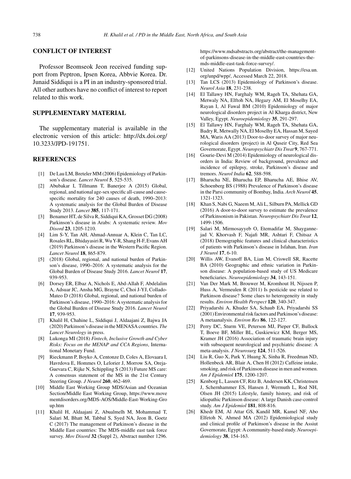#### **CONFLICT OF INTEREST**

Professor Beomseok Jeon received funding support from Peptron, Ipsen Korea, Abbvie Korea. Dr. Junaid Siddiqui is a PI in an industry-sponsored trial. All other authors have no conflict of interest to report related to this work.

## **SUPPLEMENTARY MATERIAL**

The supplementary material is available in the electronic version of this article: [http://dx.doi.org/](http://dx.doi.org/10.3233/JPD-191751) [10.3233/JPD-191751.](http://dx.doi.org/10.3233/JPD-191751)

#### **REFERENCES**

- [1] De Lau LM, Breteler MM (2006) Epidemiology of Parkinson's disease. *Lancet Neurol* **5**, 525-535.
- [2] Abubakar I, Tillmann T, Banerjee A (2015) Global, regional, and national age-sex specific all-cause and causespecific mortality for 240 causes of death, 1990–2013: A systematic analysis for the Global Burden of Disease Study 2013. *Lancet* **385**, 117-171.
- [3] Benamer HT, de Silva R, Siddiqui KA, Grosset DG (2008) Parkinson's disease in Arabs: A systematic review. *Mov Disord* **23**, 1205-1210.
- [4] Lim S-Y, Tan AH, Ahmad-Annuar A, Klein C, Tan LC, Rosales RL, Bhidayasiri R, Wu Y-R, Shang H-F, Evans AH (2019) Parkinson's disease in the Western Pacific Region. *Lancet Neurol* **18**, 865-879.
- [5] (2018) Global, regional, and national burden of Parkinson's disease, 1990–2016: A systematic analysis for the Global Burden of Disease Study 2016. *Lancet Neurol* **17**, 939-953.
- [6] Dorsey ER, Elbaz A, Nichols E, Abd-Allah F, Abdelalim A, Adsuar JC, Ansha MG, Brayne C, Choi J-YJ, Collado-Mateo D (2018) Global, regional, and national burden of Parkinson's disease, 1990–2016: A systematic analysis for the Global Burden of Disease Study 2016. *Lancet Neurol* **17**, 939-953.
- [7] Khalil H, Chahine L, Siddiqui J, Aldaajani Z, Bajwa JA (2020) Parkinson's disease in the MENASA countries. *The Lancet Neurology* in press.
- [8] Lukonga MI (2018) *Fintech, Inclusive Growth and Cyber Risks: Focus on the MENAP and CCA Regions*, International Monetary Fund.
- [9] Rieckmann P, Boyko A, Centonze D, Coles A, Elovaara I, Havrdova E, Hommes O, Lelorier J, Morrow SA, Oreja-Guevara C, Rijke N, Schippling S (2013) Future MS care: A consensus statement of the MS in the 21st Century Steering Group. *J Neurol* **260**, 462-469.
- [10] Middle East Working Group MDS/Asian and Oceanian Section/Middle East Working Group, [https://www.move](https://www.movementdisorders.org/MDS-AOS/Middle-East-Working-Group.htm) [mentdisorders.org/MDS-AOS/Middle-East-Working-Gro](https://www.movementdisorders.org/MDS-AOS/Middle-East-Working-Group.htm) [up.htm](https://www.movementdisorders.org/MDS-AOS/Middle-East-Working-Group.htm)
- [11] Khalil H, Aldaajani Z, Abualmelh M, Mohammad T, Salari M, Bhatt M, Tabbal S, Syed NA, Jeon B, Goetz C (2017) The management of Parkinson's disease in the Middle East countries: The MDS-middle east task force survey. *Mov Disord* **32** (Suppl 2), Abstract number 1296.

[https://www.mdsabstracts.org/abstract/the-management](https://www.mdsabstracts.org/abstract/the-management-of-parkinsons-disease-in-the-middle-east-countries-the-mds-middle-east-task-force-survey/)of-parkinsons-disease-in-the-middle-east-countries-themds-middle-east-task-force-survey/.

- [12] United Nations Population Division, [https://esa.un.](https://esa.un.org/unpd/wpp/) [org/unpd/wpp/,](https://esa.un.org/unpd/wpp/) Accessed March 22, 2018.
- [13] Tan LCS (2013) Epidemiology of Parkinson's disease. *Neurol Asia* **18**, 231-238.
- [14] El Tallawy HN, Farghaly WM, Rageh TA, Shehata GA, Metwaly NA, Elftoh NA, Hegazy AM, El Moselhy EA, Rayan I, Al Fawal BM (2010) Epidemiology of major neurological disorders project in Al Kharga district, New Valley, Egypt. *Neuroepidemiology* **35**, 291-297.
- [15] El Tallawy HN, Farghaly WM, Rageh TA, Shehata GA, Badry R, Metwally NA, El Moselhy EA, Hassan M, Sayed MA, Waris AA (2013) Door-to-door survey of major neurological disorders (project) in Al Quseir City, Red Sea Governorate, Egypt. *Neuropsychiatr Dis Treat* **9**, 767-771.
- [16] Gourie-Devi M (2014) Epidemiology of neurological disorders in India: Review of background, prevalence and incidence of epilepsy, stroke, Parkinson's disease and tremors. *Neurol India* **62**, 588-598.
- [17] Bharucha NE, Bharucha EP, Bharucha AE, Bhise AV, Schoenberg BS (1988) Prevalence of Parkinson's disease in the Parsi community of Bombay, India. *Arch Neurol* **45**, 1321-1323.
- [18] Khan S, Nabi G, Naeem M, Ali L, Silburn PA, Mellick GD (2016) A door-to-door survey to estimate the prevalence of Parkinsonism in Pakistan. *Neuropsychiatr Dis Treat* **12**, 1499-1506.
- [19] Salari M, Mirmosayyeb O, Etemadifar M, Shaygannejad V, Khorvash F, Najafi MR, Ashtari F, Chitsaz A (2018) Demographic features and clinical characteristics of patients with Parkinson's disease in Isfahan, Iran. *Iran J Neurol* **17**, 6-10.
- [20] Willis AW, Evanoff BA, Lian M, Criswell SR, Racette BA (2010) Geographic and ethnic variation in Parkinson disease: A population-based study of US Medicare beneficiaries. *Neuroepidemiology* **34**, 143-151.
- [21] Van Der Mark M, Brouwer M, Kromhout H, Nijssen P, Huss A, Vermeulen R (2011) Is pesticide use related to Parkinson disease? Some clues to heterogeneity in study results. *Environ Health Perspect* **120**, 340-347.
- [22] Priyadarshi A, Khuder SA, Schaub EA, Priyadarshi SS (2001) Environmental risk factors and Parkinson's disease: A metaanalysis. *Environ Res* **86**, 122-127.
- [23] Perry DC, Sturm VE, Peterson MJ, Pieper CF, Bullock T, Boeve BF, Miller BL, Guskiewicz KM, Berger MS, Kramer JH (2016) Association of traumatic brain injury with subsequent neurological and psychiatric disease: A meta-analysis. *J Neurosurg* **124**, 511-526.
- [24] Liu R, Guo X, Park Y, Huang X, Sinha R, Freedman ND, Hollenbeck AR, Blair A, Chen H (2012) Caffeine intake, smoking, and risk of Parkinson disease in men and women. *Am J Epidemiol* **175**, 1200-1207.
- [25] Kenborg L, Lassen CF, Ritz B, Andersen KK, Christensen J, Schernhammer ES, Hansen J, Wermuth L, Rod NH, Olsen JH (2015) Lifestyle, family history, and risk of idiopathic Parkinson disease: A large Danish case-control study. *Am J Epidemiol* **181**, 808-816.
- [26] Khedr EM, Al Attar GS, Kandil MR, Kamel NF, Abo Elfetoh N, Ahmed MA (2012) Epidemiological study and clinical profile of Parkinson's disease in the Assiut Governorate, Egypt: A community-based study.*Neuroepidemiology* **38**, 154-163.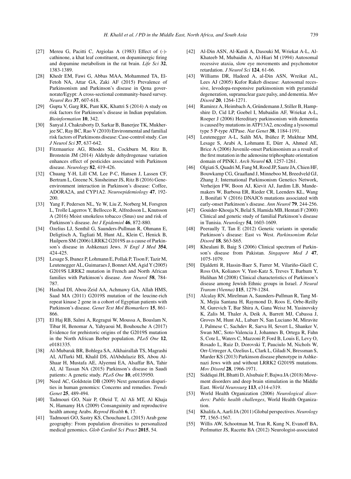- [27] Mereu G, Pacitti C, Argiolas A (1983) Effect of (-) cathinone, a khat leaf constituent, on dopaminergic firing and dopamine metabolism in the rat brain. *Life Sci* **32**, 1383-1389.
- [28] Khedr EM, Fawi G, Abbas MAA, Mohammed TA, El-Fetoh NA, Attar GA, Zaki AF (2015) Prevalence of Parkinsonism and Parkinson's disease in Qena governorate/Egypt: A cross-sectional community-based survey. *Neurol Res* **37**, 607-618.
- [29] Gupta V, Garg RK, Pant KK, Khattri S (2014) A study on risk factors for Parkinson's disease in Indian population. *Bioinformation* **10**, 342.
- [30] Sanyal J, Chakraborty D, Sarkar B, Banerjee TK, Mukherjee SC, Ray BC, Rao V (2010) Environmental and familial risk factors of Parkinsons disease: Case-control study.*Can J Neurol Sci* **37**, 637-642.
- [31] Fitzmaurice AG, Rhodes SL, Cockburn M, Ritz B, Bronstein JM (2014) Aldehyde dehydrogenase variation enhances effect of pesticides associated with Parkinson disease. *Neurology* **82**, 419-426.
- [32] Chuang Y-H, Lill CM, Lee P-C, Hansen J, Lassen CF, Bertram L, Greene N, Sinsheimer JS, Ritz B (2016) Geneenvironment interaction in Parkinson's disease: Coffee, ADORA2A, and CYP1A2. *Neuroepidemiology* **47**, 192- 200.
- [33] Yang F, Pedersen NL, Ye W, Liu Z, Norberg M, Forsgren L, Trolle Lagerros Y, Bellocco R, Alfredsson L, Knutsson A (2016) Moist smokeless tobacco (Snus) use and risk of Parkinson's disease. *Int J Epidemiol* **46**, 872-880.
- [34] Ozelius LJ, Senthil G, Saunders-Pullman R, Ohmann E, Deligtisch A, Tagliati M, Hunt AL, Klein C, Henick B, Hailpern SM (2006) LRRK2 G2019S as a cause of Parkinson's disease in Ashkenazi Jews. *N Engl J Med* **354**, 424-425.
- [35] Lesage S, Ibanez P, Lohmann E, Pollak P, Tison F, Tazir M, Leutenegger AL, Guimaraes J, Bonnet AM, Agid Y (2005) G2019S LRRK2 mutation in French and North African families with Parkinson's disease. *Ann Neurol* **58**, 784- 787.
- [36] Hashad DI, Abou-Zeid AA, Achmawy GA, Allah HMS, Saad MA (2011) G2019S mutation of the leucine-rich repeat kinase 2 gene in a cohort of Egyptian patients with Parkinson's disease. *Genet Test Mol Biomarkers* **15**, 861- 866.
- [37] El Haj RB, Salmi A, Regragui W, Moussa A, Bouslam N, Tibar H, Benomar A, Yahyaoui M, Bouhouche A (2017) Evidence for prehistoric origins of the G2019S mutation in the North African Berber population. *PLoS One* **12**, e0181335.
- [38] Al-Mubarak BR, Bohlega SA, Alkhairallah TS, Magrashi AI, AlTurki MI, Khalil DS, AlAbdulaziz BS, Abou Al-Shaar H, Mustafa AE, Alyemni EA, Alsaffar BA, Tahir AI, Al Tassan NA (2015) Parkinson's disease in Saudi patients: A genetic study. *PLoS One* **10**, e0135950.
- [39] Need AC, Goldstein DB (2009) Next generation disparities in human genomics: Concerns and remedies. *Trends Genet* **25**, 489-494.
- [40] Tadmouri GO, Nair P, Obeid T, Al Ali MT, Al Khaja N, Hamamy HA (2009) Consanguinity and reproductive health among Arabs. *Reprod Health* **6**, 17.
- [41] Tadmouri GO, Sastry KS, Chouchane L (2015) Arab gene geography: From population diversities to personalized medical genomics. *Glob Cardiol Sci Pract* **2015**, 54.
- [42] Al-Din ASN, Al-Kurdi A, Dasouki M, Wriekat A-L, Al-Khateeb M, Mubaidin A, Al-Hiari M (1994) Autosomal recessive ataxia, slow eye movements and psychomotor retardation. *J Neurol Sci* **124**, 61-66.
- [43] Williams DR, Hadeed A, al-Din ASN, Wreikat AL, Lees AJ (2005) Kufor Rakeb disease: Autosomal recessive, levodopa-responsive parkinsonism with pyramidal degeneration, supranuclear gaze palsy, and dementia. *Mov Disord* **20**, 1264-1271.
- [44] Ramirez A, Heimbach A, Gründemann J, Stiller B, Hampshire D, Cid LP, Goebel I, Mubaidin AF, Wriekat A-L, Roeper J (2006) Hereditary parkinsonism with dementia is caused by mutations in ATP13A2, encoding a lysosomal type 5 P-type ATPase. *Nat Genet* **38**, 1184-1191.
- [45] Leutenegger A-L, Salih MA, Ibáñez P, Mukhtar MM, Lesage S, Arabi A, Lohmann E, Dürr A, Ahmed AE, Brice A (2006) Juvenile-onset Parkinsonism as a result of the first mutation in the adenosine triphosphate orientation domain of PINK1. *Arch Neurol* **63**, 1257-1261.
- [46] Olgiati S, Quadri M, Fang M, Rood JP, Saute JA, Chien HF, Bouwkamp CG, Graafland J, Minneboo M, Breedveld GJ, Zhang J; International Parkinsonism Genetics Network, Verheijen FW, Boon AJ, Kievit AJ, Jardim LB, Mandemakers W, Barbosa ER, Rieder CR, Leenders KL, Wang J, Bonifati V (2016) DNAJC6 mutations associated with early-onset Parkinson's disease. *Ann Neurol* **79**, 244-256.
- [47] Gouider-Khouja N, Belal S, Hamida MB, Hentati F (2000) Clinical and genetic study of familial Parkinson's disease in Tunisia. *Neurology* **54**, 1603-1609.
- [48] Peeraully T, Tan E (2012) Genetic variants in sporadic Parkinson's disease: East vs West. *Parkinsonism Relat Disord* **18**, S63-S65.
- [49] Khealani B, Baig S (2006) Clinical spectrum of Parkinson's disease from Pakistan. *Singapore Med J* **47**, 1075-1079.
- [50] Djaldetti R, Hassin-Baer S, Farrer M, Vilariño-Güell C, Ross OA, Kolianov V, Yust-Katz S, Treves T, Barhum Y, Hulihan M (2008) Clinical characteristics of Parkinson's disease among Jewish Ethnic groups in Israel. *J Neural Transm (Vienna)* **115**, 1279-1284.
- [51] Alcalay RN, Mirelman A, Saunders-Pullman R, Tang M-X, Mejia Santana H, Raymond D, Roos E, Orbe-Reilly M, Gurevich T, Bar Shira A, Gana Weisz M, Yasinovsky K, Zalis M, Thaler A, Deik A, Barrett MJ, Cabassa J, Groves M, Hunt AL, Lubarr N, San Luciano M, Miravite J, Palmese C, Sachdev R, Sarva H, Severt L, Shanker V, Swan MC, Soto-Valencia J, Johannes B, Ortega R, Fahn S, Cote L, Waters C, Mazzoni P, Ford B, Louis E, Levy O, Rosado L, Ruiz D, Dorovski T, Pauciulo M, Nichols W, Orr-Urtreger A, Ozelius L, Clark L, Giladi N, Bressman S, Marder KS (2013) Parkinson disease phenotype in Ashkenazi Jews with and without LRRK2 G2019S mutations. *Mov Disord* **28**, 1966-1971.
- [52] Siddiqui JH, Bhatti D, Alsubaie F, Bajwa JA (2018) Movement disorders and deep brain stimulation in the Middle East. *World Neurosurg* **113**, e314-e319.
- [53] World Health Organization (2006) *Neurological disorders: Public health challenges*, World Health Organization.
- [54] Khalifa A, Aarli JA (2011) Global perspectives.*Neurology* **77**, 1565-1567.
- [55] Willis AW, Schootman M, Tran R, Kung N, Evanoff BA, Perlmutter JS, Racette BA (2012) Neurologist-associated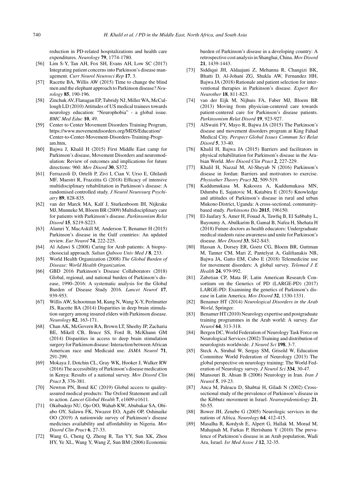reduction in PD-related hospitalizations and health care expenditures. *Neurology* **79**, 1774-1780.

- [56] Lim S-Y, Tan AH, Fox SH, Evans AH, Low SC (2017) Integrating patient concerns into Parkinson's disease management. *Curr Neurol Neurosci Rep* **17**, 3.
- [57] Racette BA, Willis AW (2015) Time to change the blind men and the elephant approach to Parkinson disease? *Neurology* **85**, 190-196.
- [58] Zinchuk AV, Flanagan EP, Tubridy NJ, Miller WA, McCullough LD (2010) Attitudes of US medical trainees towards neurology education: "Neurophobia" - a global issue. *BMC Med Educ* **10**, 49.
- [59] Center to Center Movement Disorders Training Program, [https://www.movementdisorders.org/MDS/Education/](https://www.movementdisorders.org/MDS/Education/Center-to-Center-Movement-Disorders-Training-Program.htm) [Center-to-Center-Movement-Disorders-Training-Progr](https://www.movementdisorders.org/MDS/Education/Center-to-Center-Movement-Disorders-Training-Program.htm)[am.htm](https://www.movementdisorders.org/MDS/Education/Center-to-Center-Movement-Disorders-Training-Program.htm),
- [60] Bajwa J, Khalil H (2015) First Middle East camp for Parkinson's disease, Movement Disorders and neuromodulation: Review of outcomes and implications for future directions: 960. *Mov Disord* **30**, S372.
- [61] Ferrazzoli D, Ortelli P, Zivi I, Cian V, Urso E, Ghilardi MF, Maestri R, Frazzitta G (2018) Efficacy of intensive multidisciplinary rehabilitation in Parkinson's disease: A randomised controlled study. *J Neurol Neurosurg Psychiatry* **89**, 828-835.
- [62] van der Marck MA, Kalf J, Sturkenboom IH, Nijkrake MJ, Munneke M, Bloem BR (2009) Multidisciplinary care for patients with Parkinson's disease. *Parkinsonism Relat Disord* **15**, S219-S223.
- [63] Alamri Y, MacAskill M, Anderson T, Benamer H (2015) Parkinson's disease in the Gulf countries: An updated review. *Eur Neurol* **74**, 222-225.
- [64] Al Adawi S (2008) Caring for Arab patients: A biopsychosocial approach. *Sultan Qaboos Univ Med J* **8**, 233.
- [65] World Health Organization (2008) *The Global Burden of Disease: World Health Organization.*
- [66] GBD 2016 Parkinson's Disease Collaborators (2018) Global, regional, and national burden of Parkinson's disease, 1990–2016: A systematic analysis for the Global Burden of Disease Study 2016. *Lancet Neurol* **17**, 939-953.
- [67] Willis AW, Schootman M, Kung N, Wang X-Y, Perlmutter JS, Racette BA (2014) Disparities in deep brain stimulation surgery among insured elders with Parkinson disease. *Neurology* **82**, 163-171.
- [68] Chan AK, McGovern RA, Brown LT, Sheehy JP, Zacharia BE, Mikell CB, Bruce SS, Ford B, McKhann GM (2014) Disparities in access to deep brain stimulation surgery for Parkinson disease: Interaction between African American race and Medicaid use. *JAMA Neurol* **71**, 291-299.
- [69] Mokaya J, Dotchin CL, Gray WK, Hooker J, Walker RW (2016) The accessibility of Parkinson's disease medication in Kenya: Results of a national survey. *Mov Disord Clin Pract* **3**, 376-381.
- [70] Newton PN, Bond KC (2019) Global access to qualityassured medical products: The Oxford Statement and call to action. *Lancet Global Health* **7**, e1609-e1611.
- [71] Okubadejo NU, Ojo OO, Wahab KW, Abubakar SA, Obiabo OY, Salawu FK, Nwazor EO, Agabi OP, Oshinaike OO (2019) A nationwide survey of Parkinson's disease medicines availability and affordability in Nigeria. *Mov Disord Clin Pract* **6**, 27-33.
- [72] Wang G, Cheng Q, Zheng R, Tan YY, Sun XK, Zhou HY, Ye XL, Wang Y, Wang Z, Sun BM (2006) Economic

burden of Parkinson's disease in a developing country: A retrospective cost analysis in Shanghai, China. *Mov Disord* **21**, 1439-1443.

- [73] Siddiqui JH, Aldaajani Z, Mehanna R, Changizi BK, Bhatti D, Al-Johani ZG, Shukla AW, Fernandez HH, Bajwa JA (2018) Rationale and patient selection for interventional therapies in Parkinson's disease. *Expert Rev Neurother* **18**, 811-823.
- [74] van der Eijk M, Nijhuis FA, Faber MJ, Bloem BR (2013) Moving from physician-centered care towards patient-centered care for Parkinson's disease patients. *Parkinsonism Relat Disord* **19**, 923-927.
- [75] AlSwaiti FY, Mayo R, Bajwa JA (2015) The Parkinson's disease and movement disorders program at King Fahad Medical City. *Perspect Global Issues Commun Sci Relat Disord* **5**, 33-40.
- [76] Khalil H, Bajwa JA (2015) Barriers and facilitators in physical rehabilitation for Parkinson's disease in the Arabian World. *Mov Disord Clin Pract* **2**, 227-229.
- [77] Khalil H, Nazzal M, Al-Sheyab N (2016) Parkinson's disease in Jordan: Barriers and motivators to exercise. *Physiother Theory Pract* **32**, 509-519.
- [78] Kaddumukasa M, Kakooza A, Kaddumukasa MN, Ddumba E, Sajatovic M, Katabira E (2015) Knowledge and attitudes of Parkinson's disease in rural and urban Mukono District, Uganda: A cross-sectional, communitybased study. *Parkinsons Dis* **2015**, 196150.
- [79] El-Jaafary S, Amer H, Fouad A, Tawfiq B, El Sabbahy L, Bayoumy A, Abulkarim B, Gamal B, Nafea H, Shehata H (2018) Future doctors as health educators: Undergraduate medical students raise awareness and unite for Parkinson's disease. *Mov Disord* **33**, S42-S43.
- [80] Hassan A, Dorsey ER, Goetz CG, Bloem BR, Guttman M, Tanner CM, Mari Z, Pantelyat A, Galifianakis NB, Bajwa JA, Gatto EM, Cubo E (2018) Telemedicine use for movement disorders: A global survey. *Telemed J E Health* **24**, 979-992.
- [81] Zabetian CP, Mata IF, Latin American Research Consortium on the Genetics of PD (LARGE-PD) (2017) LARGE-PD: Examining the genetics of Parkinson's disease in Latin America. *Mov Disord* **32**, 1330-1331.
- [82] Benamer HT (2014) *Neurological Disorders in the Arab World*, Springer.
- [83] Benamer HT (2010) Neurology expertise and postgraduate training programmes in the Arab world: A survey. *Eur Neurol* **64**, 313-318.
- [84] Bergen DC, World Federation of Neurology Task Force on Neurological Services (2002) Training and distribution of neurologists worldwide. *J Neurol Sci* **198**, 3-7.
- [85] Steck A, Struhal W, Sergay SM, Grisold W, Education Committee World Federation of Neurology (2013) The global perspective on neurology training: The World Federation of Neurology survey. *J Neurol Sci* **334**, 30-47.
- [86] Mansouri B, Ahsan B (2006) Neurology in Iran. *Iran J Neurol* **5**, 19-23.
- [87] Anca M, Paleacu D, Shabtai H, Giladi N (2002) Crosssectional study of the prevalence of Parkinson's disease in the Kibbutz movement in Israel. *Neuroepidemiology* **21**, 50-55.
- [88] Bower JH, Zenebe G (2005) Neurologic services in the nations of Africa. *Neurology* **64**, 412-415.
- [89] Masalha R, Kordysh E, Alpert G, Hallak M, Morad M, Mahajnah M, Farkas P, Herishanu Y (2010) The prevalence of Parkinson's disease in an Arab population, Wadi Ara, Israel. *Isr Med Assoc J* **12**, 32-35.